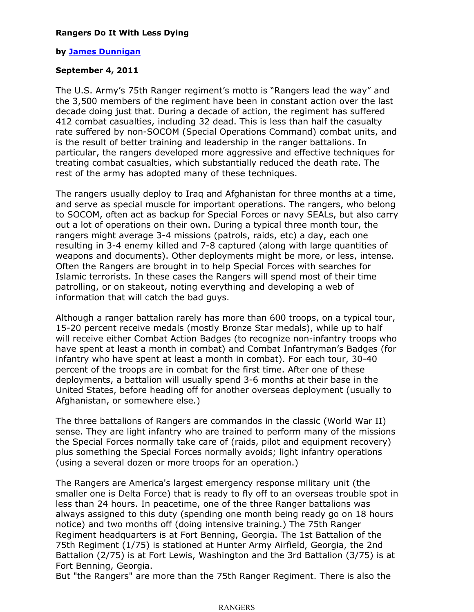## **Rangers Do It With Less Dying**

## **by James Dunnigan**

## **September 4, 2011**

The U.S. Army's 75th Ranger regiment's motto is "Rangers lead the way" and the 3,500 members of the regiment have been in constant action over the last decade doing just that. During a decade of action, the regiment has suffered 412 combat casualties, including 32 dead. This is less than half the casualty rate suffered by non-SOCOM (Special Operations Command) combat units, and is the result of better training and leadership in the ranger battalions. In particular, the rangers developed more aggressive and effective techniques for treating combat casualties, which substantially reduced the death rate. The rest of the army has adopted many of these techniques.

The rangers usually deploy to Iraq and Afghanistan for three months at a time, and serve as special muscle for important operations. The rangers, who belong to SOCOM, often act as backup for Special Forces or navy SEALs, but also carry out a lot of operations on their own. During a typical three month tour, the rangers might average 3-4 missions (patrols, raids, etc) a day, each one resulting in 3-4 enemy killed and 7-8 captured (along with large quantities of weapons and documents). Other deployments might be more, or less, intense. Often the Rangers are brought in to help Special Forces with searches for Islamic terrorists. In these cases the Rangers will spend most of their time patrolling, or on stakeout, noting everything and developing a web of information that will catch the bad guys.

Although a ranger battalion rarely has more than 600 troops, on a typical tour, 15-20 percent receive medals (mostly Bronze Star medals), while up to half will receive either Combat Action Badges (to recognize non-infantry troops who have spent at least a month in combat) and Combat Infantryman's Badges (for infantry who have spent at least a month in combat). For each tour, 30-40 percent of the troops are in combat for the first time. After one of these deployments, a battalion will usually spend 3-6 months at their base in the United States, before heading off for another overseas deployment (usually to Afghanistan, or somewhere else.)

The three battalions of Rangers are commandos in the classic (World War II) sense. They are light infantry who are trained to perform many of the missions the Special Forces normally take care of (raids, pilot and equipment recovery) plus something the Special Forces normally avoids; light infantry operations (using a several dozen or more troops for an operation.)

The Rangers are America's largest emergency response military unit (the smaller one is Delta Force) that is ready to fly off to an overseas trouble spot in less than 24 hours. In peacetime, one of the three Ranger battalions was always assigned to this duty (spending one month being ready go on 18 hours notice) and two months off (doing intensive training.) The 75th Ranger Regiment headquarters is at Fort Benning, Georgia. The 1st Battalion of the 75th Regiment (1/75) is stationed at Hunter Army Airfield, Georgia, the 2nd Battalion (2/75) is at Fort Lewis, Washington and the 3rd Battalion (3/75) is at Fort Benning, Georgia.

But "the Rangers" are more than the 75th Ranger Regiment. There is also the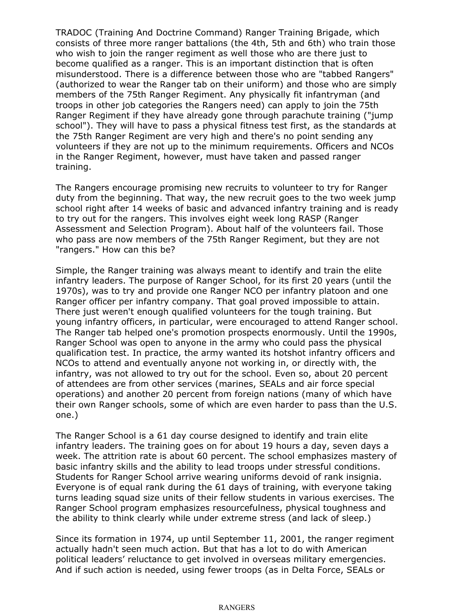TRADOC (Training And Doctrine Command) Ranger Training Brigade, which consists of three more ranger battalions (the 4th, 5th and 6th) who train those who wish to join the ranger regiment as well those who are there just to become qualified as a ranger. This is an important distinction that is often misunderstood. There is a difference between those who are "tabbed Rangers" (authorized to wear the Ranger tab on their uniform) and those who are simply members of the 75th Ranger Regiment. Any physically fit infantryman (and troops in other job categories the Rangers need) can apply to join the 75th Ranger Regiment if they have already gone through parachute training ("jump school"). They will have to pass a physical fitness test first, as the standards at the 75th Ranger Regiment are very high and there's no point sending any volunteers if they are not up to the minimum requirements. Officers and NCOs in the Ranger Regiment, however, must have taken and passed ranger training.

The Rangers encourage promising new recruits to volunteer to try for Ranger duty from the beginning. That way, the new recruit goes to the two week jump school right after 14 weeks of basic and advanced infantry training and is ready to try out for the rangers. This involves eight week long RASP (Ranger Assessment and Selection Program). About half of the volunteers fail. Those who pass are now members of the 75th Ranger Regiment, but they are not "rangers." How can this be?

Simple, the Ranger training was always meant to identify and train the elite infantry leaders. The purpose of Ranger School, for its first 20 years (until the 1970s), was to try and provide one Ranger NCO per infantry platoon and one Ranger officer per infantry company. That goal proved impossible to attain. There just weren't enough qualified volunteers for the tough training. But young infantry officers, in particular, were encouraged to attend Ranger school. The Ranger tab helped one's promotion prospects enormously. Until the 1990s, Ranger School was open to anyone in the army who could pass the physical qualification test. In practice, the army wanted its hotshot infantry officers and NCOs to attend and eventually anyone not working in, or directly with, the infantry, was not allowed to try out for the school. Even so, about 20 percent of attendees are from other services (marines, SEALs and air force special operations) and another 20 percent from foreign nations (many of which have their own Ranger schools, some of which are even harder to pass than the U.S. one.)

The Ranger School is a 61 day course designed to identify and train elite infantry leaders. The training goes on for about 19 hours a day, seven days a week. The attrition rate is about 60 percent. The school emphasizes mastery of basic infantry skills and the ability to lead troops under stressful conditions. Students for Ranger School arrive wearing uniforms devoid of rank insignia. Everyone is of equal rank during the 61 days of training, with everyone taking turns leading squad size units of their fellow students in various exercises. The Ranger School program emphasizes resourcefulness, physical toughness and the ability to think clearly while under extreme stress (and lack of sleep.)

Since its formation in 1974, up until September 11, 2001, the ranger regiment actually hadn't seen much action. But that has a lot to do with American political leaders' reluctance to get involved in overseas military emergencies. And if such action is needed, using fewer troops (as in Delta Force, SEALs or